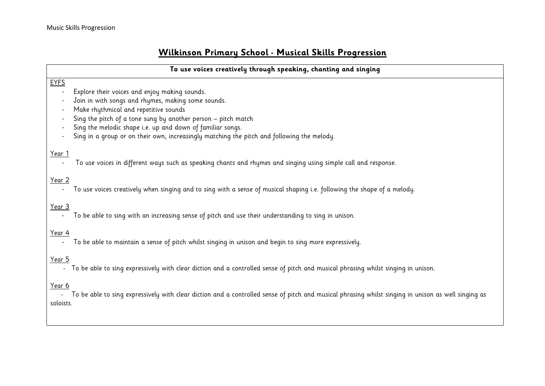## **Wilkinson Primary School - Musical Skills Progression**

|               | To use voices creatively through speaking, chanting and singing                                                                   |
|---------------|-----------------------------------------------------------------------------------------------------------------------------------|
|               |                                                                                                                                   |
| <b>EYFS</b>   |                                                                                                                                   |
|               | Explore their voices and enjoy making sounds.                                                                                     |
|               | Join in with songs and rhymes, making some sounds.                                                                                |
|               | Make rhythmical and repetitive sounds                                                                                             |
|               | Sing the pitch of a tone sung by another person - pitch match                                                                     |
|               | Sing the melodic shape i.e. up and down of familiar songs.                                                                        |
|               | Sing in a group or on their own, increasingly matching the pitch and following the melody.                                        |
|               |                                                                                                                                   |
| Year 1        |                                                                                                                                   |
|               | To use voices in different ways such as speaking chants and rhymes and singing using simple call and response.                    |
|               |                                                                                                                                   |
| Year 2        |                                                                                                                                   |
|               | To use voices creatively when singing and to sing with a sense of musical shaping i.e. following the shape of a melody.           |
|               |                                                                                                                                   |
| <u>Year 3</u> |                                                                                                                                   |
|               | To be able to sing with an increasing sense of pitch and use their understanding to sing in unison.                               |
| Year 4        |                                                                                                                                   |
|               | To be able to maintain a sense of pitch whilst singing in unison and begin to sing more expressively.                             |
|               |                                                                                                                                   |
| <u>Year 5</u> |                                                                                                                                   |
|               | To be able to sing expressively with clear diction and a controlled sense of pitch and musical phrasing whilst singing in unison. |
|               |                                                                                                                                   |
|               |                                                                                                                                   |

Year 6

 - To be able to sing expressively with clear diction and a controlled sense of pitch and musical phrasing whilst singing in unison as well singing as soloists.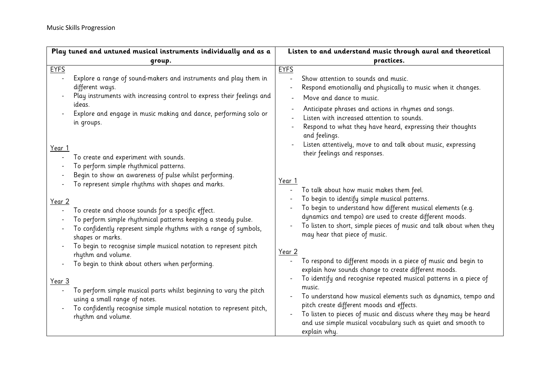| Play tuned and untuned musical instruments individually and as a                                                                                                                                            | Listen to and understand music through aural and theoretical                                                                                                                                                                                                               |  |
|-------------------------------------------------------------------------------------------------------------------------------------------------------------------------------------------------------------|----------------------------------------------------------------------------------------------------------------------------------------------------------------------------------------------------------------------------------------------------------------------------|--|
| group.                                                                                                                                                                                                      | practices.                                                                                                                                                                                                                                                                 |  |
| <b>EYFS</b>                                                                                                                                                                                                 | <b>EYFS</b>                                                                                                                                                                                                                                                                |  |
| Explore a range of sound-makers and instruments and play them in<br>different ways.<br>Play instruments with increasing control to express their feelings and<br>ideas.                                     | Show attention to sounds and music.<br>Respond emotionally and physically to music when it changes.<br>Move and dance to music.                                                                                                                                            |  |
| Explore and engage in music making and dance, performing solo or<br>in groups.                                                                                                                              | Anticipate phrases and actions in rhymes and songs.<br>Listen with increased attention to sounds.<br>Respond to what they have heard, expressing their thoughts<br>and feelings.                                                                                           |  |
| Year 1<br>To create and experiment with sounds.<br>To perform simple rhythmical patterns.<br>Begin to show an awareness of pulse whilst performing.                                                         | Listen attentively, move to and talk about music, expressing<br>their feelings and responses.                                                                                                                                                                              |  |
| To represent simple rhythms with shapes and marks.<br>Year 2                                                                                                                                                | Year 1<br>To talk about how music makes them feel.<br>To begin to identify simple musical patterns.                                                                                                                                                                        |  |
| To create and choose sounds for a specific effect.<br>To perform simple rhythmical patterns keeping a steady pulse.<br>To confidently represent simple rhythms with a range of symbols,<br>shapes or marks. | To begin to understand how different musical elements (e.g.<br>dynamics and tempo) are used to create different moods.<br>To listen to short, simple pieces of music and talk about when they<br>may hear that piece of music.                                             |  |
| To begin to recognise simple musical notation to represent pitch<br>rhythm and volume.<br>To begin to think about others when performing.                                                                   | Year 2<br>To respond to different moods in a piece of music and begin to<br>explain how sounds change to create different moods.<br>To identify and recognise repeated musical patterns in a piece of                                                                      |  |
| Year 3<br>To perform simple musical parts whilst beginning to vary the pitch<br>using a small range of notes.<br>To confidently recognise simple musical notation to represent pitch,<br>rhythm and volume. | music.<br>To understand how musical elements such as dynamics, tempo and<br>pitch create different moods and effects.<br>To listen to pieces of music and discuss where they may be heard<br>and use simple musical vocabulary such as quiet and smooth to<br>explain why. |  |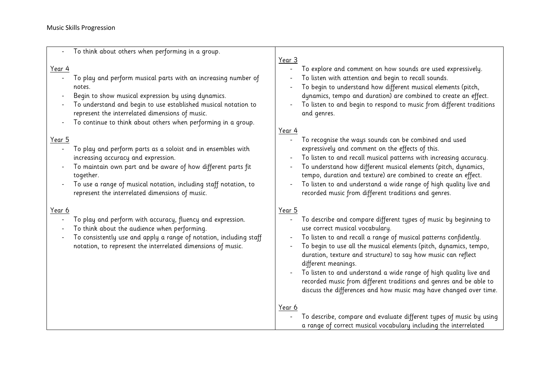## Music Skills Progression

|                                           | To think about others when performing in a group.                                                                                                                                                                                                                                                                     | Year 3                                    |                                                                                                                                                                                                                                                                                                                                                                                                                                                                                                                                                      |
|-------------------------------------------|-----------------------------------------------------------------------------------------------------------------------------------------------------------------------------------------------------------------------------------------------------------------------------------------------------------------------|-------------------------------------------|------------------------------------------------------------------------------------------------------------------------------------------------------------------------------------------------------------------------------------------------------------------------------------------------------------------------------------------------------------------------------------------------------------------------------------------------------------------------------------------------------------------------------------------------------|
| Year 4                                    | To play and perform musical parts with an increasing number of<br>notes.<br>Begin to show musical expression by using dynamics.<br>To understand and begin to use established musical notation to<br>represent the interrelated dimensions of music.<br>To continue to think about others when performing in a group. | $\overline{\phantom{a}}$<br><u>Year 4</u> | To explore and comment on how sounds are used expressively.<br>To listen with attention and begin to recall sounds.<br>To begin to understand how different musical elements (pitch,<br>dynamics, tempo and duration) are combined to create an effect.<br>To listen to and begin to respond to music from different traditions<br>and genres.                                                                                                                                                                                                       |
| <u>Year 5</u><br>$\overline{\phantom{a}}$ | To play and perform parts as a soloist and in ensembles with<br>increasing accuracy and expression.<br>To maintain own part and be aware of how different parts fit<br>together.<br>To use a range of musical notation, including staff notation, to<br>represent the interrelated dimensions of music.               |                                           | To recognise the ways sounds can be combined and used<br>expressively and comment on the effects of this.<br>To listen to and recall musical patterns with increasing accuracy.<br>To understand how different musical elements (pitch, dynamics,<br>tempo, duration and texture) are combined to create an effect.<br>To listen to and understand a wide range of high quality live and<br>recorded music from different traditions and genres.                                                                                                     |
| <u>Year 6</u>                             | To play and perform with accuracy, fluency and expression.<br>To think about the audience when performing.<br>To consistently use and apply a range of notation, including staff<br>notation, to represent the interrelated dimensions of music.                                                                      | <u>Year 5</u>                             | To describe and compare different types of music by beginning to<br>use correct musical vocabulary.<br>To listen to and recall a range of musical patterns confidently.<br>To begin to use all the musical elements (pitch, dynamics, tempo,<br>duration, texture and structure) to say how music can reflect<br>different meanings.<br>To listen to and understand a wide range of high quality live and<br>recorded music from different traditions and genres and be able to<br>discuss the differences and how music may have changed over time. |
|                                           |                                                                                                                                                                                                                                                                                                                       | Year 6                                    | To describe, compare and evaluate different types of music by using<br>a range of correct musical vocabulary including the interrelated                                                                                                                                                                                                                                                                                                                                                                                                              |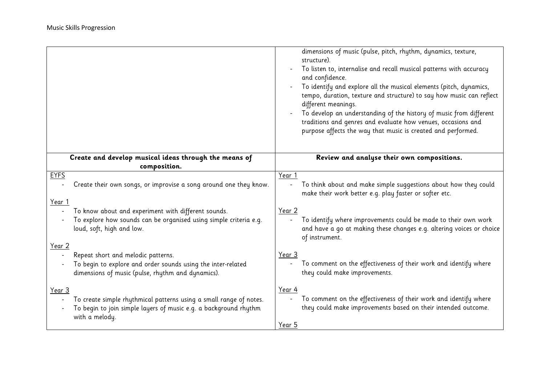|        |                                                                                                                                                          |                          | dimensions of music (pulse, pitch, rhythm, dynamics, texture,<br>structure).<br>To listen to, internalise and recall musical patterns with accuracy<br>and confidence.<br>To identify and explore all the musical elements (pitch, dynamics,<br>tempo, duration, texture and structure) to say how music can reflect<br>different meanings.<br>To develop an understanding of the history of music from different<br>traditions and genres and evaluate how venues, occasions and<br>purpose affects the way that music is created and performed. |
|--------|----------------------------------------------------------------------------------------------------------------------------------------------------------|--------------------------|---------------------------------------------------------------------------------------------------------------------------------------------------------------------------------------------------------------------------------------------------------------------------------------------------------------------------------------------------------------------------------------------------------------------------------------------------------------------------------------------------------------------------------------------------|
|        | Create and develop musical ideas through the means of<br>composition.                                                                                    |                          | Review and analyse their own compositions.                                                                                                                                                                                                                                                                                                                                                                                                                                                                                                        |
| EYFS   |                                                                                                                                                          | Year 1                   |                                                                                                                                                                                                                                                                                                                                                                                                                                                                                                                                                   |
|        | Create their own songs, or improvise a song around one they know.                                                                                        |                          | To think about and make simple suggestions about how they could<br>make their work better e.g. play faster or softer etc.                                                                                                                                                                                                                                                                                                                                                                                                                         |
| Year 1 |                                                                                                                                                          |                          |                                                                                                                                                                                                                                                                                                                                                                                                                                                                                                                                                   |
|        | To know about and experiment with different sounds.<br>To explore how sounds can be organised using simple criteria e.g.<br>loud, soft, high and low.    | Year 2                   | To identify where improvements could be made to their own work<br>and have a go at making these changes e.g. altering voices or choice<br>of instrument.                                                                                                                                                                                                                                                                                                                                                                                          |
| Year 2 |                                                                                                                                                          |                          |                                                                                                                                                                                                                                                                                                                                                                                                                                                                                                                                                   |
|        | Repeat short and melodic patterns.<br>To begin to explore and order sounds using the inter-related<br>dimensions of music (pulse, rhythm and dynamics).  | Year 3                   | To comment on the effectiveness of their work and identify where<br>they could make improvements.                                                                                                                                                                                                                                                                                                                                                                                                                                                 |
| Year 3 | To create simple rhythmical patterns using a small range of notes.<br>To begin to join simple layers of music e.g. a background rhythm<br>with a melody. | Year 4<br>Y <u>ear 5</u> | To comment on the effectiveness of their work and identify where<br>they could make improvements based on their intended outcome.                                                                                                                                                                                                                                                                                                                                                                                                                 |